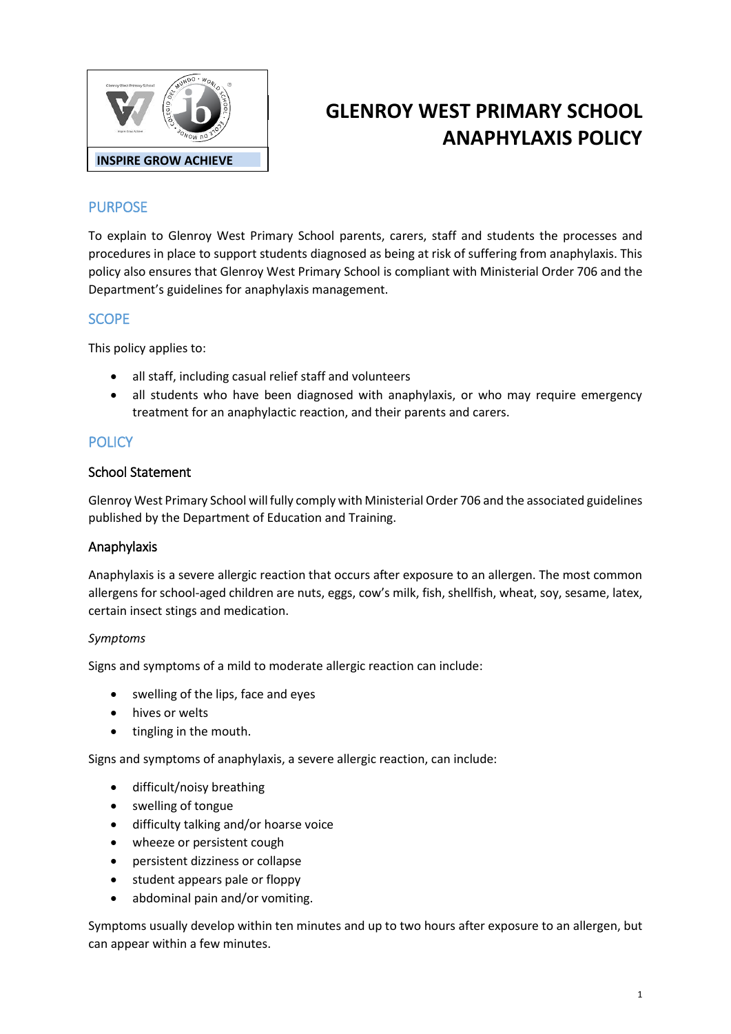

# **GLENROY WEST PRIMARY SCHOOL ANAPHYLAXIS POLICY**

# PURPOSE

To explain to Glenroy West Primary School parents, carers, staff and students the processes and procedures in place to support students diagnosed as being at risk of suffering from anaphylaxis. This policy also ensures that Glenroy West Primary School is compliant with Ministerial Order 706 and the Department's guidelines for anaphylaxis management.

## **SCOPE**

This policy applies to:

- all staff, including casual relief staff and volunteers
- all students who have been diagnosed with anaphylaxis, or who may require emergency treatment for an anaphylactic reaction, and their parents and carers.

## **POLICY**

#### School Statement

Glenroy West Primary School will fully comply with Ministerial Order 706 and the associated guidelines published by the Department of Education and Training.

## Anaphylaxis

Anaphylaxis is a severe allergic reaction that occurs after exposure to an allergen. The most common allergens for school-aged children are nuts, eggs, cow's milk, fish, shellfish, wheat, soy, sesame, latex, certain insect stings and medication.

#### *Symptoms*

Signs and symptoms of a mild to moderate allergic reaction can include:

- swelling of the lips, face and eyes
- hives or welts
- tingling in the mouth.

Signs and symptoms of anaphylaxis, a severe allergic reaction, can include:

- difficult/noisy breathing
- swelling of tongue
- difficulty talking and/or hoarse voice
- wheeze or persistent cough
- persistent dizziness or collapse
- student appears pale or floppy
- abdominal pain and/or vomiting.

Symptoms usually develop within ten minutes and up to two hours after exposure to an allergen, but can appear within a few minutes.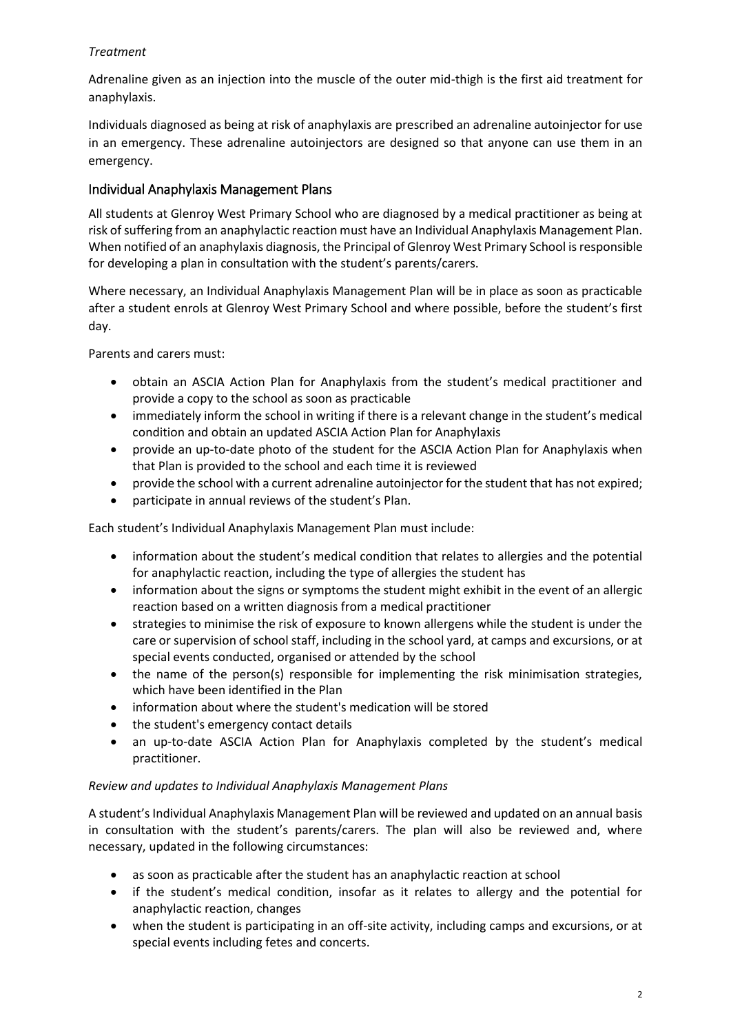## *Treatment*

Adrenaline given as an injection into the muscle of the outer mid-thigh is the first aid treatment for anaphylaxis.

Individuals diagnosed as being at risk of anaphylaxis are prescribed an adrenaline autoinjector for use in an emergency. These adrenaline autoinjectors are designed so that anyone can use them in an emergency.

## Individual Anaphylaxis Management Plans

All students at Glenroy West Primary School who are diagnosed by a medical practitioner as being at risk of suffering from an anaphylactic reaction must have an Individual Anaphylaxis Management Plan. When notified of an anaphylaxis diagnosis, the Principal of Glenroy West Primary School is responsible for developing a plan in consultation with the student's parents/carers.

Where necessary, an Individual Anaphylaxis Management Plan will be in place as soon as practicable after a student enrols at Glenroy West Primary School and where possible, before the student's first day.

Parents and carers must:

- obtain an ASCIA Action Plan for Anaphylaxis from the student's medical practitioner and provide a copy to the school as soon as practicable
- immediately inform the school in writing if there is a relevant change in the student's medical condition and obtain an updated ASCIA Action Plan for Anaphylaxis
- provide an up-to-date photo of the student for the ASCIA Action Plan for Anaphylaxis when that Plan is provided to the school and each time it is reviewed
- provide the school with a current adrenaline autoinjector for the student that has not expired;
- participate in annual reviews of the student's Plan.

Each student's Individual Anaphylaxis Management Plan must include:

- information about the student's medical condition that relates to allergies and the potential for anaphylactic reaction, including the type of allergies the student has
- information about the signs or symptoms the student might exhibit in the event of an allergic reaction based on a written diagnosis from a medical practitioner
- strategies to minimise the risk of exposure to known allergens while the student is under the care or supervision of school staff, including in the school yard, at camps and excursions, or at special events conducted, organised or attended by the school
- the name of the person(s) responsible for implementing the risk minimisation strategies, which have been identified in the Plan
- information about where the student's medication will be stored
- the student's emergency contact details
- an up-to-date ASCIA Action Plan for Anaphylaxis completed by the student's medical practitioner.

#### *Review and updates to Individual Anaphylaxis Management Plans*

A student's Individual Anaphylaxis Management Plan will be reviewed and updated on an annual basis in consultation with the student's parents/carers. The plan will also be reviewed and, where necessary, updated in the following circumstances:

- as soon as practicable after the student has an anaphylactic reaction at school
- if the student's medical condition, insofar as it relates to allergy and the potential for anaphylactic reaction, changes
- when the student is participating in an off-site activity, including camps and excursions, or at special events including fetes and concerts.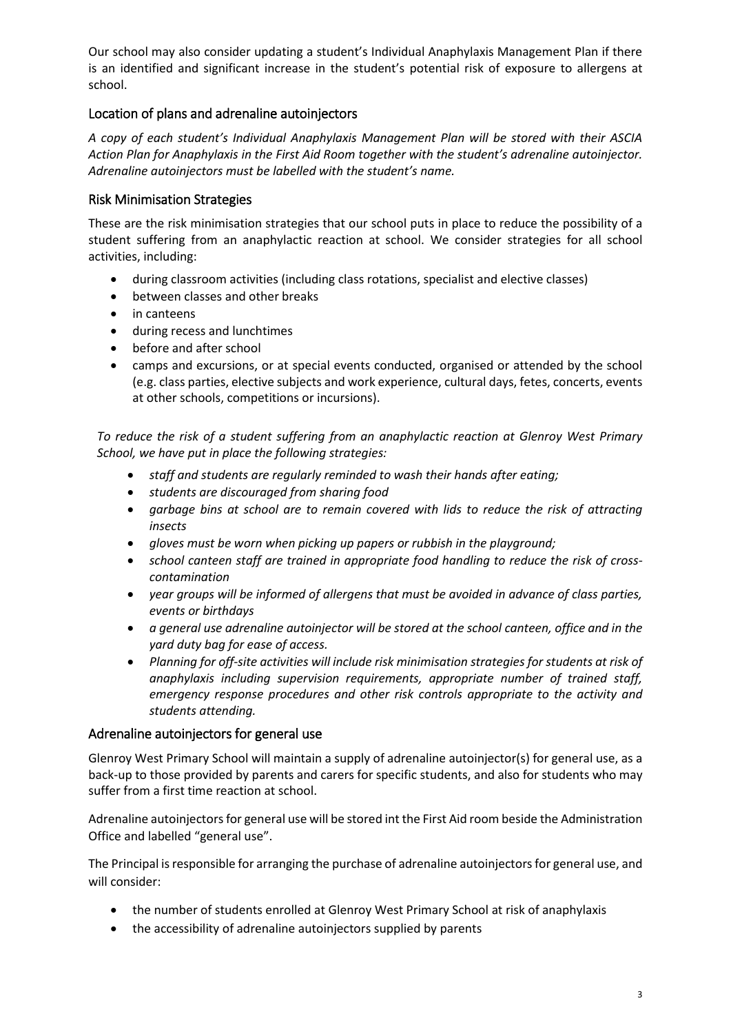Our school may also consider updating a student's Individual Anaphylaxis Management Plan if there is an identified and significant increase in the student's potential risk of exposure to allergens at school.

## Location of plans and adrenaline autoinjectors

*A copy of each student's Individual Anaphylaxis Management Plan will be stored with their ASCIA Action Plan for Anaphylaxis in the First Aid Room together with the student's adrenaline autoinjector. Adrenaline autoinjectors must be labelled with the student's name.*

## Risk Minimisation Strategies

These are the risk minimisation strategies that our school puts in place to reduce the possibility of a student suffering from an anaphylactic reaction at school. We consider strategies for all school activities, including:

- during classroom activities (including class rotations, specialist and elective classes)
- between classes and other breaks
- in canteens
- during recess and lunchtimes
- before and after school
- camps and excursions, or at special events conducted, organised or attended by the school (e.g. class parties, elective subjects and work experience, cultural days, fetes, concerts, events at other schools, competitions or incursions).

*To reduce the risk of a student suffering from an anaphylactic reaction at Glenroy West Primary School, we have put in place the following strategies:*

- *staff and students are regularly reminded to wash their hands after eating;*
- *students are discouraged from sharing food*
- *garbage bins at school are to remain covered with lids to reduce the risk of attracting insects*
- *gloves must be worn when picking up papers or rubbish in the playground;*
- *school canteen staff are trained in appropriate food handling to reduce the risk of crosscontamination*
- *year groups will be informed of allergens that must be avoided in advance of class parties, events or birthdays*
- *a general use adrenaline autoinjector will be stored at the school canteen, office and in the yard duty bag for ease of access.*
- *Planning for off-site activities will include risk minimisation strategies for students at risk of anaphylaxis including supervision requirements, appropriate number of trained staff, emergency response procedures and other risk controls appropriate to the activity and students attending.*

#### Adrenaline autoinjectors for general use

Glenroy West Primary School will maintain a supply of adrenaline autoinjector(s) for general use, as a back-up to those provided by parents and carers for specific students, and also for students who may suffer from a first time reaction at school.

Adrenaline autoinjectors for general use will be stored int the First Aid room beside the Administration Office and labelled "general use".

The Principal is responsible for arranging the purchase of adrenaline autoinjectors for general use, and will consider:

- the number of students enrolled at Glenroy West Primary School at risk of anaphylaxis
- the accessibility of adrenaline autoinjectors supplied by parents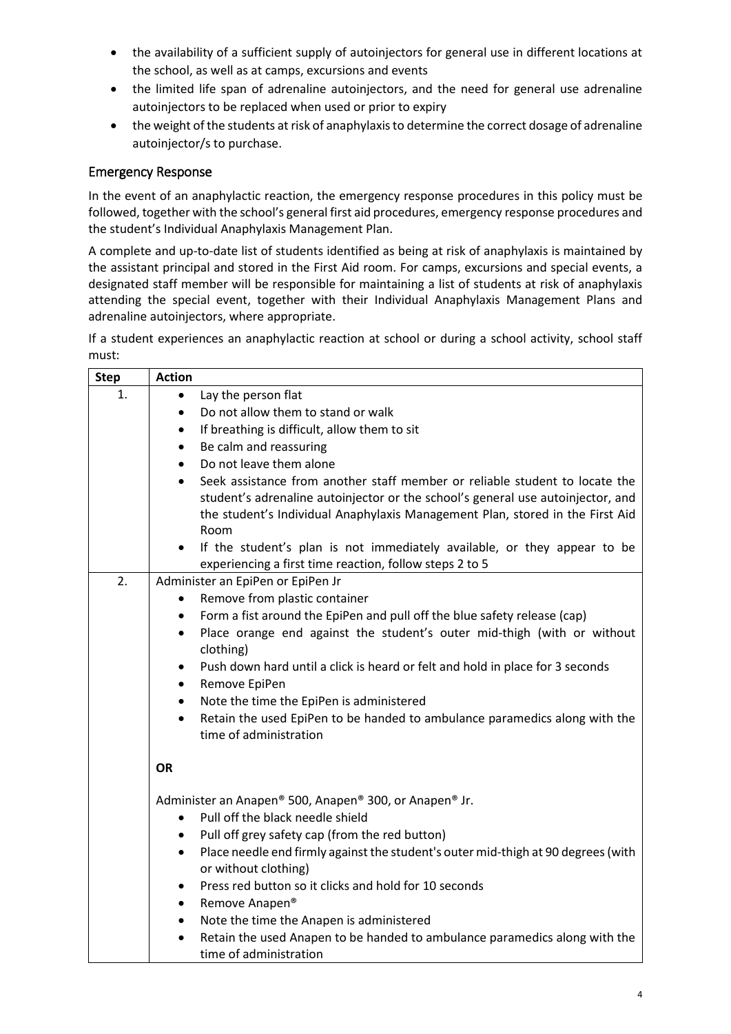- the availability of a sufficient supply of autoinjectors for general use in different locations at the school, as well as at camps, excursions and events
- the limited life span of adrenaline autoinjectors, and the need for general use adrenaline autoinjectors to be replaced when used or prior to expiry
- the weight of the students at risk of anaphylaxis to determine the correct dosage of adrenaline autoinjector/s to purchase.

## Emergency Response

In the event of an anaphylactic reaction, the emergency response procedures in this policy must be followed, together with the school's general first aid procedures, emergency response procedures and the student's Individual Anaphylaxis Management Plan.

A complete and up-to-date list of students identified as being at risk of anaphylaxis is maintained by the assistant principal and stored in the First Aid room. For camps, excursions and special events, a designated staff member will be responsible for maintaining a list of students at risk of anaphylaxis attending the special event, together with their Individual Anaphylaxis Management Plans and adrenaline autoinjectors, where appropriate.

If a student experiences an anaphylactic reaction at school or during a school activity, school staff must:

| <b>Step</b> | <b>Action</b>                                                                                                                                                                                                                                                        |  |
|-------------|----------------------------------------------------------------------------------------------------------------------------------------------------------------------------------------------------------------------------------------------------------------------|--|
| 1.          | Lay the person flat                                                                                                                                                                                                                                                  |  |
|             | Do not allow them to stand or walk<br>$\bullet$                                                                                                                                                                                                                      |  |
|             | If breathing is difficult, allow them to sit<br>$\bullet$                                                                                                                                                                                                            |  |
|             | Be calm and reassuring<br>$\bullet$                                                                                                                                                                                                                                  |  |
|             | Do not leave them alone<br>$\bullet$                                                                                                                                                                                                                                 |  |
|             | Seek assistance from another staff member or reliable student to locate the<br>$\bullet$<br>student's adrenaline autoinjector or the school's general use autoinjector, and<br>the student's Individual Anaphylaxis Management Plan, stored in the First Aid<br>Room |  |
|             | If the student's plan is not immediately available, or they appear to be<br>$\bullet$<br>experiencing a first time reaction, follow steps 2 to 5                                                                                                                     |  |
| 2.          | Administer an EpiPen or EpiPen Jr                                                                                                                                                                                                                                    |  |
|             | Remove from plastic container                                                                                                                                                                                                                                        |  |
|             | Form a fist around the EpiPen and pull off the blue safety release (cap)<br>$\bullet$                                                                                                                                                                                |  |
|             | Place orange end against the student's outer mid-thigh (with or without<br>$\bullet$<br>clothing)                                                                                                                                                                    |  |
|             | Push down hard until a click is heard or felt and hold in place for 3 seconds<br>$\bullet$<br>Remove EpiPen<br>$\bullet$                                                                                                                                             |  |
|             | Note the time the EpiPen is administered<br>$\bullet$                                                                                                                                                                                                                |  |
|             | Retain the used EpiPen to be handed to ambulance paramedics along with the<br>$\bullet$<br>time of administration                                                                                                                                                    |  |
|             | <b>OR</b>                                                                                                                                                                                                                                                            |  |
|             | Administer an Anapen® 500, Anapen® 300, or Anapen® Jr.<br>Pull off the black needle shield<br>$\bullet$                                                                                                                                                              |  |
|             | Pull off grey safety cap (from the red button)<br>$\bullet$                                                                                                                                                                                                          |  |
|             | Place needle end firmly against the student's outer mid-thigh at 90 degrees (with<br>$\bullet$<br>or without clothing)                                                                                                                                               |  |
|             | Press red button so it clicks and hold for 10 seconds<br>$\bullet$                                                                                                                                                                                                   |  |
|             | Remove Anapen®<br>$\bullet$                                                                                                                                                                                                                                          |  |
|             | Note the time the Anapen is administered<br>$\bullet$                                                                                                                                                                                                                |  |
|             | Retain the used Anapen to be handed to ambulance paramedics along with the<br>$\bullet$<br>time of administration                                                                                                                                                    |  |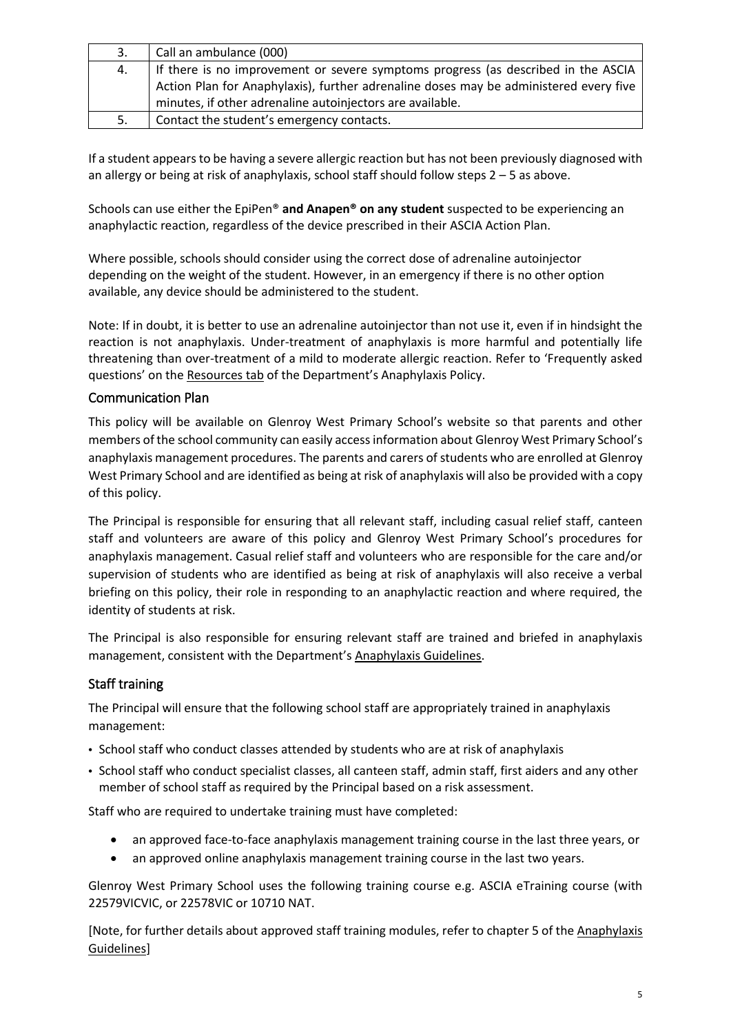| 3. | Call an ambulance (000)                                                               |
|----|---------------------------------------------------------------------------------------|
| 4. | If there is no improvement or severe symptoms progress (as described in the ASCIA     |
|    | Action Plan for Anaphylaxis), further adrenaline doses may be administered every five |
|    | minutes, if other adrenaline autoinjectors are available.                             |
| 5. | Contact the student's emergency contacts.                                             |

If a student appears to be having a severe allergic reaction but has not been previously diagnosed with an allergy or being at risk of anaphylaxis, school staff should follow steps 2 – 5 as above.

Schools can use either the EpiPen® **and Anapen® on any student** suspected to be experiencing an anaphylactic reaction, regardless of the device prescribed in their ASCIA Action Plan.

Where possible, schools should consider using the correct dose of adrenaline autoinjector depending on the weight of the student. However, in an emergency if there is no other option available, any device should be administered to the student.

Note: If in doubt, it is better to use an adrenaline autoinjector than not use it, even if in hindsight the reaction is not anaphylaxis. Under-treatment of anaphylaxis is more harmful and potentially life threatening than over-treatment of a mild to moderate allergic reaction. Refer to 'Frequently asked questions' on the [Resources tab](https://www2.education.vic.gov.au/pal/anaphylaxis/resources) of the Department's Anaphylaxis Policy.

## Communication Plan

This policy will be available on Glenroy West Primary School's website so that parents and other members of the school community can easily access information about Glenroy West Primary School's anaphylaxis management procedures. The parents and carers of students who are enrolled at Glenroy West Primary School and are identified as being at risk of anaphylaxis will also be provided with a copy of this policy.

The Principal is responsible for ensuring that all relevant staff, including casual relief staff, canteen staff and volunteers are aware of this policy and Glenroy West Primary School's procedures for anaphylaxis management. Casual relief staff and volunteers who are responsible for the care and/or supervision of students who are identified as being at risk of anaphylaxis will also receive a verbal briefing on this policy, their role in responding to an anaphylactic reaction and where required, the identity of students at risk.

The Principal is also responsible for ensuring relevant staff are trained and briefed in anaphylaxis management, consistent with the Department's [Anaphylaxis Guidelines.](https://www2.education.vic.gov.au/pal/anaphylaxis/guidance)

## Staff training

The Principal will ensure that the following school staff are appropriately trained in anaphylaxis management:

- School staff who conduct classes attended by students who are at risk of anaphylaxis
- School staff who conduct specialist classes, all canteen staff, admin staff, first aiders and any other member of school staff as required by the Principal based on a risk assessment.

Staff who are required to undertake training must have completed:

- an approved face-to-face anaphylaxis management training course in the last three years, or
- an approved online anaphylaxis management training course in the last two years.

Glenroy West Primary School uses the following training course e.g. ASCIA eTraining course (with 22579VICVIC, or 22578VIC or 10710 NAT.

[Note, for further details about approved staff training modules, refer to chapter 5 of the [Anaphylaxis](https://www2.education.vic.gov.au/pal/anaphylaxis/guidance/5-staff-training)  [Guidelines\]](https://www2.education.vic.gov.au/pal/anaphylaxis/guidance/5-staff-training)